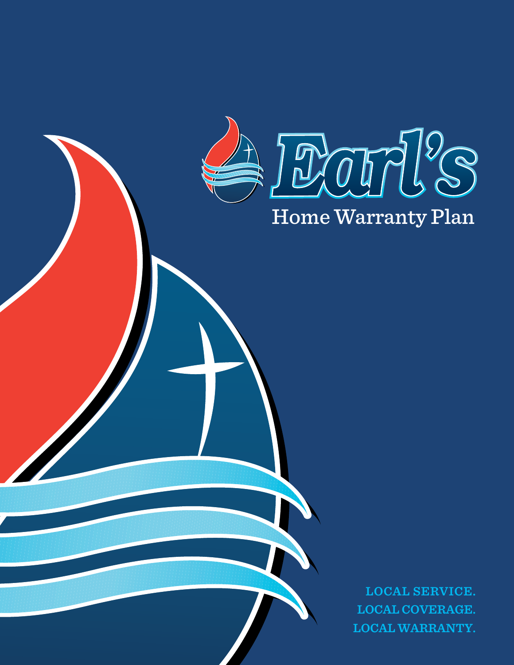

# Home Warranty Plan

**LOCAL SERVICE. LOCAL COVERAGE. LOCAL WARRANTY.**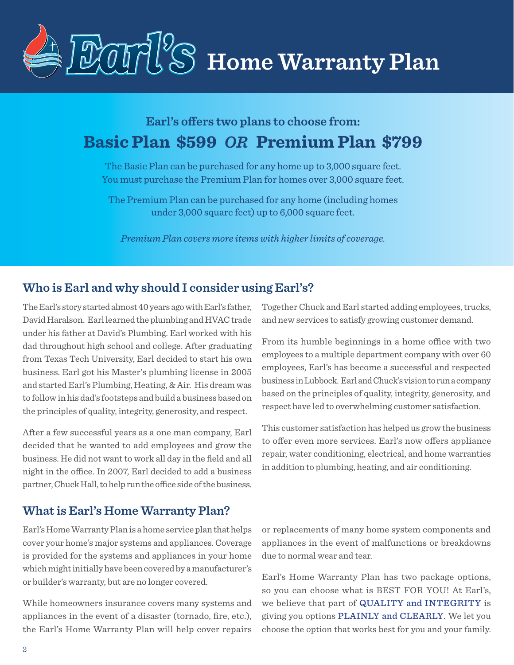

# **Earl's offers two plans to choose from: Basic Plan \$599** *OR* **Premium Plan \$799**

The Basic Plan can be purchased for any home up to 3,000 square feet. You must purchase the Premium Plan for homes over 3,000 square feet.

The Premium Plan can be purchased for any home (including homes under 3,000 square feet) up to 6,000 square feet.

*Premium Plan covers more items with higher limits of coverage.*

## **Who is Earl and why should I consider using Earl's?**

The Earl's story started almost 40 years ago with Earl's father, David Haralson. Earl learned the plumbing and HVAC trade under his father at David's Plumbing. Earl worked with his dad throughout high school and college. After graduating from Texas Tech University, Earl decided to start his own business. Earl got his Master's plumbing license in 2005 and started Earl's Plumbing, Heating, & Air. His dream was to follow in his dad's footsteps and build a business based on the principles of quality, integrity, generosity, and respect.

After a few successful years as a one man company, Earl decided that he wanted to add employees and grow the business. He did not want to work all day in the field and all night in the office. In 2007, Earl decided to add a business partner, Chuck Hall, to help run the office side of the business.

Together Chuck and Earl started adding employees, trucks, and new services to satisfy growing customer demand.

From its humble beginnings in a home office with two employees to a multiple department company with over 60 employees, Earl's has become a successful and respected business in Lubbock. Earl and Chuck's vision to run a company based on the principles of quality, integrity, generosity, and respect have led to overwhelming customer satisfaction.

This customer satisfaction has helped us grow the business to offer even more services. Earl's now offers appliance repair, water conditioning, electrical, and home warranties in addition to plumbing, heating, and air conditioning.

# **What is Earl's Home Warranty Plan?**

Earl's Home Warranty Plan is a home service plan that helps cover your home's major systems and appliances. Coverage is provided for the systems and appliances in your home which might initially have been covered by a manufacturer's or builder's warranty, but are no longer covered.

While homeowners insurance covers many systems and appliances in the event of a disaster (tornado, fire, etc.), the Earl's Home Warranty Plan will help cover repairs or replacements of many home system components and appliances in the event of malfunctions or breakdowns due to normal wear and tear.

Earl's Home Warranty Plan has two package options, so you can choose what is BEST FOR YOU! At Earl's, we believe that part of QUALITY and INTEGRITY is giving you options PLAINLY and CLEARLY. We let you choose the option that works best for you and your family.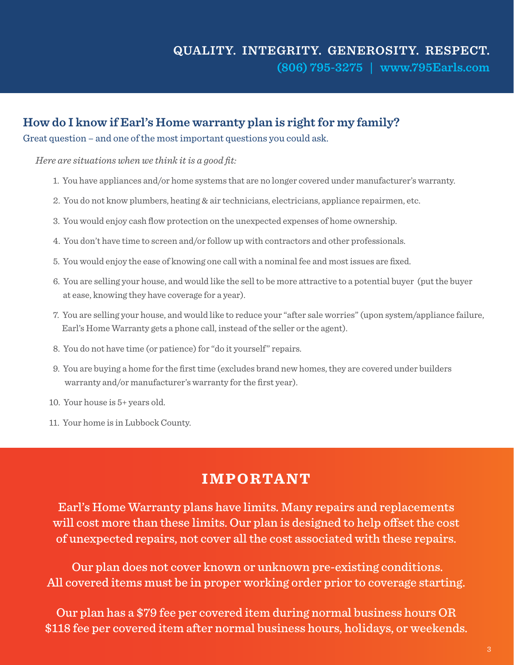# **How do I know if Earl's Home warranty plan is right for my family?**

Great question – and one of the most important questions you could ask.

*Here are situations when we think it is a good fit:*

- 1. You have appliances and/or home systems that are no longer covered under manufacturer's warranty.
- 2. You do not know plumbers, heating & air technicians, electricians, appliance repairmen, etc.
- 3. You would enjoy cash flow protection on the unexpected expenses of home ownership.
- 4. You don't have time to screen and/or follow up with contractors and other professionals.
- 5. You would enjoy the ease of knowing one call with a nominal fee and most issues are fixed.
- 6. You are selling your house, and would like the sell to be more attractive to a potential buyer (put the buyer at ease, knowing they have coverage for a year).
- 7. You are selling your house, and would like to reduce your "after sale worries" (upon system/appliance failure, Earl's Home Warranty gets a phone call, instead of the seller or the agent).
- 8. You do not have time (or patience) for "do it yourself" repairs.
- 9. You are buying a home for the first time (excludes brand new homes, they are covered under builders warranty and/or manufacturer's warranty for the first year).
- 10. Your house is 5+ years old.
- 11. Your home is in Lubbock County.

# **IMPORTANT**

Earl's Home Warranty plans have limits. Many repairs and replacements will cost more than these limits. Our plan is designed to help offset the cost of unexpected repairs, not cover all the cost associated with these repairs.

 Our plan does not cover known or unknown pre-existing conditions. All covered items must be in proper working order prior to coverage starting.

Our plan has a \$79 fee per covered item during normal business hours OR \$118 fee per covered item after normal business hours, holidays, or weekends.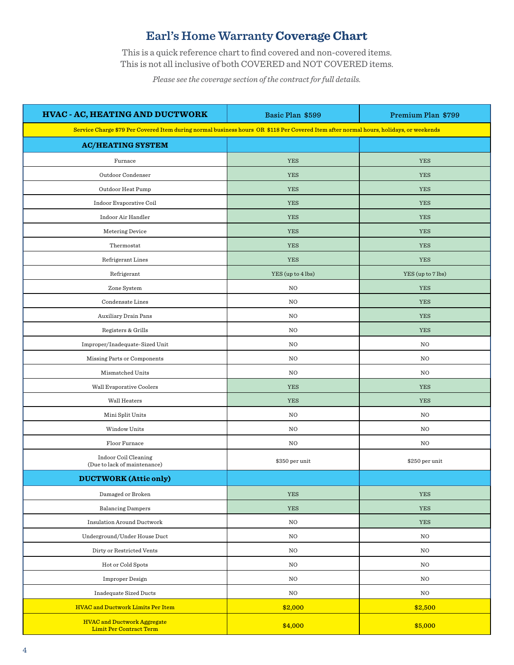# **Earl's Home Warranty Coverage Chart**

This is a quick reference chart to find covered and non-covered items. This is not all inclusive of both COVERED and NOT COVERED items.

*Please see the coverage section of the contract for full details.*

| HVAC - AC, HEATING AND DUCTWORK                                                                                                       | Basic Plan \$599  | Premium Plan \$799 |  |
|---------------------------------------------------------------------------------------------------------------------------------------|-------------------|--------------------|--|
| Service Charge \$79 Per Covered Item during normal business hours OR \$118 Per Covered Item after normal hours, holidays, or weekends |                   |                    |  |
| <b>AC/HEATING SYSTEM</b>                                                                                                              |                   |                    |  |
| Furnace                                                                                                                               | <b>YES</b>        | <b>YES</b>         |  |
| Outdoor Condenser                                                                                                                     | <b>YES</b>        | <b>YES</b>         |  |
| Outdoor Heat Pump                                                                                                                     | <b>YES</b>        | <b>YES</b>         |  |
| Indoor Evaporative Coil                                                                                                               | <b>YES</b>        | <b>YES</b>         |  |
| Indoor Air Handler                                                                                                                    | <b>YES</b>        | <b>YES</b>         |  |
| Metering Device                                                                                                                       | <b>YES</b>        | <b>YES</b>         |  |
| Thermostat                                                                                                                            | <b>YES</b>        | <b>YES</b>         |  |
| Refrigerant Lines                                                                                                                     | <b>YES</b>        | <b>YES</b>         |  |
| Refrigerant                                                                                                                           | YES (up to 4 lbs) | YES (up to 7 lbs)  |  |
| Zone System                                                                                                                           | NO                | <b>YES</b>         |  |
| Condensate Lines                                                                                                                      | NO                | <b>YES</b>         |  |
| Auxiliary Drain Pans                                                                                                                  | NO.               | <b>YES</b>         |  |
| Registers & Grills                                                                                                                    | NO                | <b>YES</b>         |  |
| Improper/Inadequate-Sized Unit                                                                                                        | NO                | NO                 |  |
| Missing Parts or Components                                                                                                           | NO                | NO.                |  |
| Mismatched Units                                                                                                                      | NO.               | NO.                |  |
| Wall Evaporative Coolers                                                                                                              | <b>YES</b>        | <b>YES</b>         |  |
| Wall Heaters                                                                                                                          | <b>YES</b>        | <b>YES</b>         |  |
| Mini Split Units                                                                                                                      | NO                | $_{\rm NO}$        |  |
| Window Units                                                                                                                          | NO                | NO.                |  |
| Floor Furnace                                                                                                                         | NO                | NO.                |  |
| Indoor Coil Cleaning<br>(Due to lack of maintenance)                                                                                  | \$350 per unit    | \$250 per unit     |  |
| <b>DUCTWORK</b> (Attic only)                                                                                                          |                   |                    |  |
| Damaged or Broken                                                                                                                     | YES               | <b>YES</b>         |  |
| <b>Balancing Dampers</b>                                                                                                              | <b>YES</b>        | <b>YES</b>         |  |
| <b>Insulation Around Ductwork</b>                                                                                                     | $_{\rm NO}$       | YES                |  |
| Underground/Under House Duct                                                                                                          | $_{\rm NO}$       | NO                 |  |
| Dirty or Restricted Vents                                                                                                             | NO                | NO                 |  |
| Hot or Cold Spots                                                                                                                     | NO                | NO                 |  |
| Improper Design                                                                                                                       | NO                | NO                 |  |
| <b>Inadequate Sized Ducts</b>                                                                                                         | NO                | NO                 |  |
| <b>HVAC and Ductwork Limits Per Item</b>                                                                                              | \$2,000           | \$2,500            |  |
| <b>HVAC and Ductwork Aggregate</b><br><b>Limit Per Contract Term</b>                                                                  | \$4,000           | \$5,000            |  |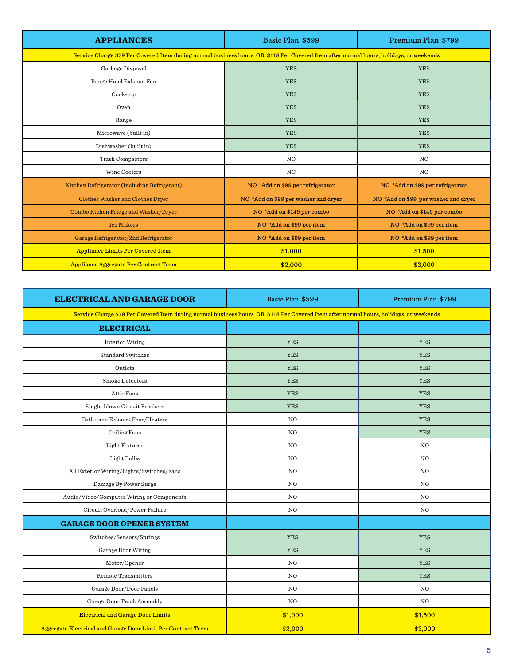| <b>APPLIANCES</b>                                                                                                                     | Basic Plan \$599                     | Premium Plan \$799                   |
|---------------------------------------------------------------------------------------------------------------------------------------|--------------------------------------|--------------------------------------|
| Service Charge \$79 Per Covered Item during normal business hours OR \$118 Per Covered Item after normal hours, holidays, or weekends |                                      |                                      |
| Garbage Disposal                                                                                                                      | <b>YES</b>                           | <b>YES</b>                           |
| Range Hood Exhaust Fan                                                                                                                | <b>YES</b>                           | <b>YES</b>                           |
| Cook-top                                                                                                                              | <b>YES</b>                           | <b>YES</b>                           |
| Oven                                                                                                                                  | <b>YES</b>                           | <b>YES</b>                           |
| Range                                                                                                                                 | <b>YES</b>                           | <b>YES</b>                           |
| Microwave (built in)                                                                                                                  | <b>YES</b>                           | <b>YES</b>                           |
| Dishwasher (built in)                                                                                                                 | <b>YES</b>                           | <b>YES</b>                           |
| Trash Compactors                                                                                                                      | N <sub>O</sub>                       | N <sub>O</sub>                       |
| Wine Coolers                                                                                                                          | <b>NO</b>                            | N <sub>O</sub>                       |
| Kitchen Refrigerator (Including Refrigerant)                                                                                          | NO *Add on \$99 per refrigerator     | NO *Add on \$99 per refrigerator     |
| Clothes Washer and Clothes Dryer                                                                                                      | NO *Add on \$99 per washer and dryer | NO *Add on \$99 per washer and dryer |
| Combo Ktchen Fridge and Washer/Dryer                                                                                                  | NO *Add on \$149 per combo           | NO *Add on \$149 per combo           |
| <b>Ice Makers</b>                                                                                                                     | NO *Add on \$99 per item             | NO *Add on \$99 per item             |
| Garage Refrigerator/2nd Refrigerator                                                                                                  | NO *Add on \$99 per item             | NO *Add on \$99 per item             |
| <b>Appliance Limits Per Covered Item</b>                                                                                              | \$1,000                              | \$1,500                              |
| Appliance Aggregate Per Contract Term                                                                                                 | \$2,000                              | \$3,000                              |

| ELECTRICAL AND GARAGE DOOR                                                                                                            | Basic Plan \$599 | Premium Plan \$799 |  |
|---------------------------------------------------------------------------------------------------------------------------------------|------------------|--------------------|--|
| Service Charge \$79 Per Covered Item during normal business hours OR \$118 Per Covered Item after normal hours, holidays, or weekends |                  |                    |  |
| <b>ELECTRICAL</b>                                                                                                                     |                  |                    |  |
| Interior Wiring                                                                                                                       | <b>YES</b>       | <b>YES</b>         |  |
| <b>Standard Switches</b>                                                                                                              | <b>YES</b>       | <b>YES</b>         |  |
| Outlets                                                                                                                               | <b>YES</b>       | <b>YES</b>         |  |
| Smoke Detectors                                                                                                                       | <b>YES</b>       | <b>YES</b>         |  |
| Attic Fans                                                                                                                            | <b>YES</b>       | <b>YES</b>         |  |
| Single-blown Circuit Breakers                                                                                                         | <b>YES</b>       | <b>YES</b>         |  |
| Bathroom Exhaust Fans/Heaters                                                                                                         | NO.              | <b>YES</b>         |  |
| Ceiling Fans                                                                                                                          | NO.              | <b>YES</b>         |  |
| Light Fixtures                                                                                                                        | N <sub>O</sub>   | NO                 |  |
| Light Bulbs                                                                                                                           | N <sub>O</sub>   | N <sub>O</sub>     |  |
| All Exterior Wiring/Lights/Switches/Fans                                                                                              | N <sub>O</sub>   | N <sub>O</sub>     |  |
| Damage By Power Surge                                                                                                                 | NO               | NO.                |  |
| Audio/Video/Computer Wiring or Components                                                                                             | NO               | N <sub>O</sub>     |  |
| Circuit Overload/Power Failure                                                                                                        | NO.              | NO.                |  |
| <b>GARAGE DOOR OPENER SYSTEM</b>                                                                                                      |                  |                    |  |
| Switches/Sensors/Springs                                                                                                              | <b>YES</b>       | <b>YES</b>         |  |
| Garage Door Wiring                                                                                                                    | <b>YES</b>       | <b>YES</b>         |  |
| Motor/Opener                                                                                                                          | NO.              | <b>YES</b>         |  |
| Remote Transmitters                                                                                                                   | NO               | <b>YES</b>         |  |
| Garage Door/Door Panels                                                                                                               | NO.              | N <sub>O</sub>     |  |
| Garage Door Track Assembly                                                                                                            | NO.              | N <sub>O</sub>     |  |
| <b>Electrical and Garage Door Limits</b>                                                                                              | \$1,000          | \$1,500            |  |
| Aggregate Electrical and Garage Door Limit Per Contract Term                                                                          | \$2,000          | \$3,000            |  |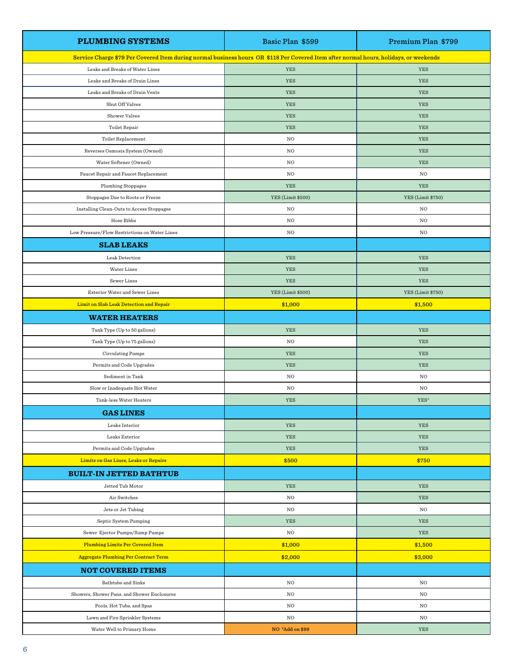| <b>PLUMBING SYSTEMS</b>                                                                                                               | Basic Plan \$599  | Premium Plan \$799 |
|---------------------------------------------------------------------------------------------------------------------------------------|-------------------|--------------------|
| Service Charge \$79 Per Covered Item during normal business hours OR \$118 Per Covered Item after normal hours, holidays, or weekends |                   |                    |
| Leaks and Breaks of Water Lines                                                                                                       | YES               | <b>YES</b>         |
| Leaks and Breaks of Drain Lines                                                                                                       | YES               | YES                |
| Leaks and Breaks of Drain Vents                                                                                                       | YES               | YES                |
| Shut Off Valves                                                                                                                       | YES               | YES                |
| Shower Valves                                                                                                                         | YES               | YES                |
| Toilet Repair                                                                                                                         | <b>YES</b>        | <b>YES</b>         |
| Toilet Replacement                                                                                                                    | NO                | YES                |
| Reverses Osmosis System (Owned)                                                                                                       | $_{\rm NO}$       | YES                |
| Water Softener (Owned)                                                                                                                | $_{\rm NO}$       | YES                |
| Faucet Repair and Faucet Replacement                                                                                                  | NO                | NO                 |
| <b>Plumbing Stoppages</b>                                                                                                             | <b>YES</b>        | YES                |
| Stoppages Due to Roots or Freeze                                                                                                      | YES (Limit \$500) | YES (Limit \$750)  |
| Installing Clean-Outs to Access Stoppages                                                                                             | NO                | NO                 |
| Hose Bibbs                                                                                                                            | NO                | NO                 |
| Low Pressure/Flow Restrictions on Water Lines                                                                                         | $_{\rm NO}$       | NO                 |
| <b>SLAB LEAKS</b>                                                                                                                     |                   |                    |
| Leak Detection                                                                                                                        | YES               | YES                |
| Water Lines                                                                                                                           | YES               | YES                |
| Sewer Lines                                                                                                                           | <b>YES</b>        | <b>YES</b>         |
| Exterior Water and Sewer Lines                                                                                                        | YES (Limit \$500) | YES (Limit \$750)  |
| Limit on Slab Leak Detection and Repair                                                                                               | \$1,000           | \$1,500            |
| <b>WATER HEATERS</b>                                                                                                                  |                   |                    |
| Tank Type (Up to 50 gallons)                                                                                                          | YES               | <b>YES</b>         |
| Tank Type (Up to 75 gallons)                                                                                                          | NO                | <b>YES</b>         |
| Circulating Pumps                                                                                                                     | YES               | YES                |
| Permits and Code Upgrades                                                                                                             | YES               | YES                |
| Sediment in Tank                                                                                                                      | $_{\rm NO}$       | NO                 |
| Slow or Inadequate Hot Water                                                                                                          | NO                | NO                 |
| Tank-less Water Heaters                                                                                                               | <b>YES</b>        | YES*               |
| <b>GAS LINES</b>                                                                                                                      |                   |                    |
| Leaks Interior                                                                                                                        | YES               | YES                |
| Leaks Exterior                                                                                                                        | YES               | YES                |
| Permits and Code Upgrades                                                                                                             | YES               | YES                |
| Limits on Gas Lines, Leaks or Repairs                                                                                                 | \$500             | \$750              |
| <b>BUILT-IN JETTED BATHTUB</b>                                                                                                        |                   |                    |
| Jetted Tub Motor                                                                                                                      | YES               | YES                |
| Air Switches                                                                                                                          | NO                | YES                |
| Jets or Jet Tubing                                                                                                                    | NO                | NO                 |
| Septic System Pumping                                                                                                                 | YES               | YES                |
| Sewer Ejector Pumps/Sump Pumps                                                                                                        | NO                | YES                |
| <b>Plumbing Limits Per Covered Item</b>                                                                                               | \$1,000           | \$1,500            |
| <b>Aggregate Plumbing Per Contract Term</b>                                                                                           | \$2,000           | \$3,000            |
| <b>NOT COVERED ITEMS</b>                                                                                                              |                   |                    |
| Bathtubs and Sinks                                                                                                                    | NO                | NO                 |
| Showers, Shower Pans, and Shower Enclosures                                                                                           | $_{\rm NO}$       | NO                 |
| Pools, Hot Tubs, and Spas                                                                                                             | NO                | NO                 |
| Lawn and Fire Sprinkler Systems                                                                                                       | NO                | NO                 |
| Water Well to Primary Home                                                                                                            | NO *Add on \$99   | YES                |
|                                                                                                                                       |                   |                    |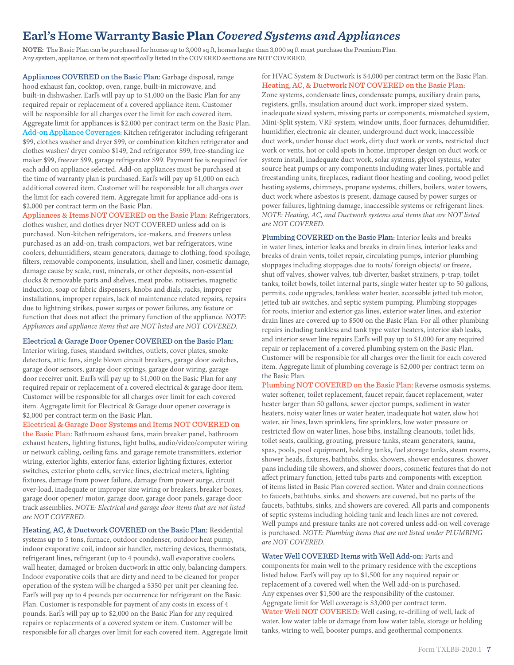# **Earl's Home Warranty Basic Plan** *Covered Systems and Appliances*

**NOTE:** The Basic Plan can be purchased for homes up to 3,000 sq ft, homes larger than 3,000 sq ft must purchase the Premium Plan. Any system, appliance, or item not specifically listed in the COVERED sections are NOT COVERED.

Appliances COVERED on the Basic Plan: Garbage disposal, range hood exhaust fan, cooktop, oven, range, built-in microwave, and built-in dishwasher. Earl's will pay up to \$1,000 on the Basic Plan for any required repair or replacement of a covered appliance item. Customer will be responsible for all charges over the limit for each covered item. Aggregate limit for appliances is \$2,000 per contract term on the Basic Plan. Add-on Appliance Coverages: Kitchen refrigerator including refrigerant \$99, clothes washer and dryer \$99, or combination kitchen refrigerator and clothes washer/ dryer combo \$149, 2nd refrigerator \$99, free-standing ice maker \$99, freezer \$99, garage refrigerator \$99. Payment fee is required for each add on appliance selected. Add-on appliances must be purchased at the time of warranty plan is purchased. Earl's will pay up \$1,000 on each additional covered item. Customer will be responsible for all charges over the limit for each covered item. Aggregate limit for appliance add-ons is \$2,000 per contract term on the Basic Plan.

Appliances & Items NOT COVERED on the Basic Plan: Refrigerators, clothes washer, and clothes dryer NOT COVERED unless add on is purchased. Non-kitchen refrigerators, ice-makers, and freezers unless purchased as an add-on, trash compactors, wet bar refrigerators, wine coolers, dehumidifiers, steam generators, damage to clothing, food spoilage, filters, removable components, insulation, shell and liner, cosmetic damage, damage cause by scale, rust, minerals, or other deposits, non-essential clocks & removable parts and shelves, meat probe, rotisseries, magnetic induction, soap or fabric dispensers, knobs and dials, racks, improper installations, improper repairs, lack of maintenance related repairs, repairs due to lightning strikes, power surges or power failures, any feature or function that does not affect the primary function of the appliance. *NOTE: Appliances and appliance items that are NOT listed are NOT COVERED.*

#### Electrical & Garage Door Opener COVERED on the Basic Plan:

Interior wiring, fuses, standard switches, outlets, cover plates, smoke detectors, attic fans, single blown circuit breakers, garage door switches, garage door sensors, garage door springs, garage door wiring, garage door receiver unit. Earl's will pay up to \$1,000 on the Basic Plan for any required repair or replacement of a covered electrical & garage door item. Customer will be responsible for all charges over limit for each covered item. Aggregate limit for Electrical & Garage door opener coverage is \$2,000 per contract term on the Basic Plan.

Electrical & Garage Door Systems and Items NOT COVERED on

the Basic Plan: Bathroom exhaust fans, main breaker panel, bathroom exhaust heaters, lighting fixtures, light bulbs, audio/video/computer wiring or network cabling, ceiling fans, and garage remote transmitters, exterior wiring, exterior lights, exterior fans, exterior lighting fixtures, exterior switches, exterior photo cells, service lines, electrical meters, lighting fixtures, damage from power failure, damage from power surge, circuit over-load, inadequate or improper size wiring or breakers, breaker boxes, garage door opener/ motor, garage door, garage door panels, garage door track assemblies. *NOTE: Electrical and garage door items that are not listed are NOT COVERED.*

Heating, AC, & Ductwork COVERED on the Basic Plan: Residential systems up to 5 tons, furnace, outdoor condenser, outdoor heat pump, indoor evaporative coil, indoor air handler, metering devices, thermostats, refrigerant lines, refrigerant (up to 4 pounds), wall evaporative coolers, wall heater, damaged or broken ductwork in attic only, balancing dampers. Indoor evaporative coils that are dirty and need to be cleaned for proper operation of the system will be charged a \$350 per unit per cleaning fee. Earl's will pay up to 4 pounds per occurrence for refrigerant on the Basic Plan. Customer is responsible for payment of any costs in excess of 4 pounds. Earl's will pay up to \$2,000 on the Basic Plan for any required repairs or replacements of a covered system or item. Customer will be responsible for all charges over limit for each covered item. Aggregate limit for HVAC System & Ductwork is \$4,000 per contract term on the Basic Plan. Heating, AC, & Ductwork NOT COVERED on the Basic Plan: Zone systems, condensate lines, condensate pumps, auxiliary drain pans, registers, grills, insulation around duct work, improper sized system, inadequate sized system, missing parts or components, mismatched system, Mini-Split system, VRF system, window units, floor furnaces, dehumidifier, humidifier, electronic air cleaner, underground duct work, inaccessible duct work, under house duct work, dirty duct work or vents, restricted duct work or vents, hot or cold spots in home, improper design on duct work or system install, inadequate duct work, solar systems, glycol systems, water source heat pumps or any components including water lines, portable and freestanding units, fireplaces, radiant floor heating and cooling, wood pellet heating systems, chimneys, propane systems, chillers, boilers, water towers, duct work where asbestos is present, damage caused by power surges or power failures, lightning damage, inaccessible systems or refrigerant lines. *NOTE: Heating, AC, and Ductwork systems and items that are NOT listed are NOT COVERED.*

Plumbing COVERED on the Basic Plan: Interior leaks and breaks in water lines, interior leaks and breaks in drain lines, interior leaks and breaks of drain vents, toilet repair, circulating pumps, interior plumbing stoppages including stoppages due to roots/ foreign objects/ or freeze, shut off valves, shower valves, tub diverter, basket strainers, p-trap, toilet tanks, toilet bowls, toilet internal parts, single water heater up to 50 gallons, permits, code upgrades, tankless water heater, accessible jetted tub motor, jetted tub air switches, and septic system pumping. Plumbing stoppages for roots, interior and exterior gas lines, exterior water lines, and exterior drain lines are covered up to \$500 on the Basic Plan. For all other plumbing repairs including tankless and tank type water heaters, interior slab leaks, and interior sewer line repairs Earl's will pay up to \$1,000 for any required repair or replacement of a covered plumbing system on the Basic Plan. Customer will be responsible for all charges over the limit for each covered item. Aggregate limit of plumbing coverage is \$2,000 per contract term on the Basic Plan.

Plumbing NOT COVERED on the Basic Plan: Reverse osmosis systems, water softener, toilet replacement, faucet repair, faucet replacement, water heater larger than 50 gallons, sewer ejector pumps, sediment in water heaters, noisy water lines or water heater, inadequate hot water, slow hot water, air lines, lawn sprinklers, fire sprinklers, low water pressure or restricted flow on water lines, hose bibs, installing cleanouts, toilet lids, toilet seats, caulking, grouting, pressure tanks, steam generators, sauna, spas, pools, pool equipment, holding tanks, fuel storage tanks, steam rooms, shower heads, fixtures, bathtubs, sinks, showers, shower enclosures, shower pans including tile showers, and shower doors, cosmetic features that do not affect primary function, jetted tubs parts and components with exception of items listed in Basic Plan covered section. Water and drain connections to faucets, bathtubs, sinks, and showers are covered, but no parts of the faucets, bathtubs, sinks, and showers are covered. All parts and components of septic systems including holding tank and leach lines are not covered. Well pumps and pressure tanks are not covered unless add-on well coverage is purchased. *NOTE: Plumbing items that are not listed under PLUMBING are NOT COVERED.*

Water Well COVERED Items with Well Add-on: Parts and components for main well to the primary residence with the exceptions listed below. Earl's will pay up to \$1,500 for any required repair or replacement of a covered well when the Well add-on is purchased. Any expenses over \$1,500 are the responsibility of the customer. Aggregate limit for Well coverage is \$3,000 per contract term. Water Well NOT COVERED: Well casing, re-drilling of well, lack of water, low water table or damage from low water table, storage or holding tanks, wiring to well, booster pumps, and geothermal components.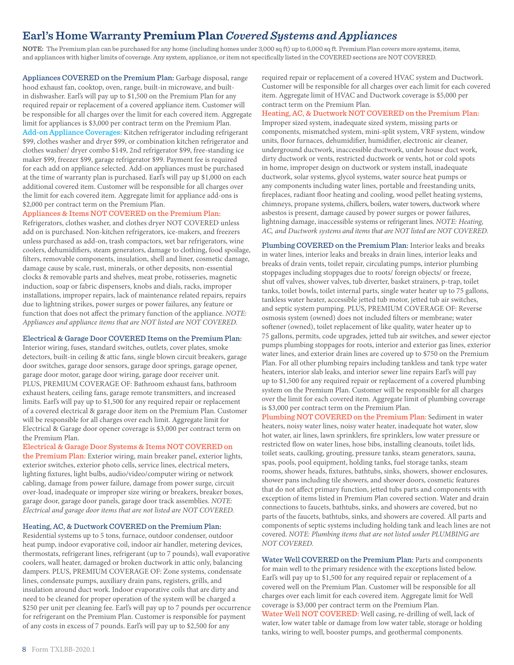# **Earl's Home Warranty Premium Plan** *Covered Systems and Appliances*

**NOTE:** The Premium plan can be purchased for any home (including homes under 3,000 sq ft) up to 6,000 sq ft. Premium Plan covers more systems, items, and appliances with higher limits of coverage. Any system, appliance, or item not specifically listed in the COVERED sections are NOT COVERED.

Appliances COVERED on the Premium Plan: Garbage disposal, range hood exhaust fan, cooktop, oven, range, built-in microwave, and builtin dishwasher. Earl's will pay up to \$1,500 on the Premium Plan for any required repair or replacement of a covered appliance item. Customer will be responsible for all charges over the limit for each covered item. Aggregate limit for appliances is \$3,000 per contract term on the Premium Plan. Add-on Appliance Coverages: Kitchen refrigerator including refrigerant \$99, clothes washer and dryer \$99, or combination kitchen refrigerator and clothes washer/ dryer combo \$149, 2nd refrigerator \$99, free-standing ice maker \$99, freezer \$99, garage refrigerator \$99. Payment fee is required for each add on appliance selected. Add-on appliances must be purchased at the time of warranty plan is purchased. Earl's will pay up \$1,000 on each additional covered item. Customer will be responsible for all charges over the limit for each covered item. Aggregate limit for appliance add-ons is \$2,000 per contract term on the Premium Plan.

#### Appliances & Items NOT COVERED on the Premium Plan:

Refrigerators, clothes washer, and clothes dryer NOT COVERED unless add on is purchased. Non-kitchen refrigerators, ice-makers, and freezers unless purchased as add-on, trash compactors, wet bar refrigerators, wine coolers, dehumidifiers, steam generators, damage to clothing, food spoilage, filters, removable components, insulation, shell and liner, cosmetic damage, damage cause by scale, rust, minerals, or other deposits, non-essential clocks & removable parts and shelves, meat probe, rotisseries, magnetic induction, soap or fabric dispensers, knobs and dials, racks, improper installations, improper repairs, lack of maintenance related repairs, repairs due to lightning strikes, power surges or power failures, any feature or function that does not affect the primary function of the appliance. *NOTE: Appliances and appliance items that are NOT listed are NOT COVERED.*

#### Electrical & Garage Door COVERED Items on the Premium Plan:

Interior wiring, fuses, standard switches, outlets, cover plates, smoke detectors, built-in ceiling & attic fans, single blown circuit breakers, garage door switches, garage door sensors, garage door springs, garage opener, garage door motor, garage door wiring, garage door receiver unit. PLUS, PREMIUM COVERAGE OF: Bathroom exhaust fans, bathroom exhaust heaters, ceiling fans, garage remote transmitters, and increased limits. Earl's will pay up to \$1,500 for any required repair or replacement of a covered electrical & garage door item on the Premium Plan. Customer will be responsible for all charges over each limit. Aggregate limit for Electrical & Garage door opener coverage is \$3,000 per contract term on the Premium Plan.

#### Electrical & Garage Door Systems & Items NOT COVERED on

the Premium Plan: Exterior wiring, main breaker panel, exterior lights, exterior switches, exterior photo cells, service lines, electrical meters, lighting fixtures, light bulbs, audio/video/computer wiring or network cabling, damage from power failure, damage from power surge, circuit over-load, inadequate or improper size wiring or breakers, breaker boxes, garage door, garage door panels, garage door track assemblies. *NOTE: Electrical and garage door items that are not listed are NOT COVERED.*

#### Heating, AC, & Ductwork COVERED on the Premium Plan:

Residential systems up to 5 tons, furnace, outdoor condenser, outdoor heat pump, indoor evaporative coil, indoor air handler, metering devices, thermostats, refrigerant lines, refrigerant (up to 7 pounds), wall evaporative coolers, wall heater, damaged or broken ductwork in attic only, balancing dampers. PLUS, PREMIUM COVERAGE OF: Zone systems, condensate lines, condensate pumps, auxiliary drain pans, registers, grills, and insulation around duct work. Indoor evaporative coils that are dirty and need to be cleaned for proper operation of the system will be charged a \$250 per unit per cleaning fee. Earl's will pay up to 7 pounds per occurrence for refrigerant on the Premium Plan. Customer is responsible for payment of any costs in excess of 7 pounds. Earl's will pay up to \$2,500 for any

required repair or replacement of a covered HVAC system and Ductwork. Customer will be responsible for all charges over each limit for each covered item. Aggregate limit of HVAC and Ductwork coverage is \$5,000 per contract term on the Premium Plan.

#### Heating, AC, & Ductwork NOT COVERED on the Premium Plan:

Improper sized system, inadequate sized system, missing parts or components, mismatched system, mini-split system, VRF system, window units, floor furnaces, dehumidifier, humidifier, electronic air cleaner, underground ductwork, inaccessible ductwork, under house duct work, dirty ductwork or vents, restricted ductwork or vents, hot or cold spots in home, improper design on ductwork or system install, inadequate ductwork, solar systems, glycol systems, water source heat pumps or any components including water lines, portable and freestanding units, fireplaces, radiant floor heating and cooling, wood pellet heating systems, chimneys, propane systems, chillers, boilers, water towers, ductwork where asbestos is present, damage caused by power surges or power failures, lightning damage, inaccessible systems or refrigerant lines. *NOTE: Heating, AC, and Ductwork systems and items that are NOT listed are NOT COVERED.*

Plumbing COVERED on the Premium Plan: Interior leaks and breaks in water lines, interior leaks and breaks in drain lines, interior leaks and breaks of drain vents, toilet repair, circulating pumps, interior plumbing stoppages including stoppages due to roots/ foreign objects/ or freeze, shut off valves, shower valves, tub diverter, basket strainers, p-trap, toilet tanks, toilet bowls, toilet internal parts, single water heater up to 75 gallons, tankless water heater, accessible jetted tub motor, jetted tub air switches, and septic system pumping. PLUS, PREMIUM COVERAGE OF: Reverse osmosis system (owned) does not included filters or membrane; water softener (owned), toilet replacement of like quality, water heater up to 75 gallons, permits, code upgrades, jetted tub air switches, and sewer ejector pumps plumbing stoppages for roots, interior and exterior gas lines, exterior water lines, and exterior drain lines are covered up to \$750 on the Premium Plan. For all other plumbing repairs including tankless and tank type water heaters, interior slab leaks, and interior sewer line repairs Earl's will pay up to \$1,500 for any required repair or replacement of a covered plumbing system on the Premium Plan. Customer will be responsible for all charges over the limit for each covered item. Aggregate limit of plumbing coverage is \$3,000 per contract term on the Premium Plan.

Plumbing NOT COVERED on the Premium Plan: Sediment in water heaters, noisy water lines, noisy water heater, inadequate hot water, slow hot water, air lines, lawn sprinklers, fire sprinklers, low water pressure or restricted flow on water lines, hose bibs, installing cleanouts, toilet lids, toilet seats, caulking, grouting, pressure tanks, steam generators, sauna, spas, pools, pool equipment, holding tanks, fuel storage tanks, steam rooms, shower heads, fixtures, bathtubs, sinks, showers, shower enclosures, shower pans including tile showers, and shower doors, cosmetic features that do not affect primary function, jetted tubs parts and components with exception of items listed in Premium Plan covered section. Water and drain connections to faucets, bathtubs, sinks, and showers are covered, but no parts of the faucets, bathtubs, sinks, and showers are covered. All parts and components of septic systems including holding tank and leach lines are not covered. *NOTE: Plumbing items that are not listed under PLUMBING are NOT COVERED.*

Water Well COVERED on the Premium Plan: Parts and components for main well to the primary residence with the exceptions listed below. Earl's will pay up to \$1,500 for any required repair or replacement of a covered well on the Premium Plan. Customer will be responsible for all charges over each limit for each covered item. Aggregate limit for Well coverage is \$3,000 per contract term on the Premium Plan. Water Well NOT COVERED: Well casing, re-drilling of well, lack of water, low water table or damage from low water table, storage or holding tanks, wiring to well, booster pumps, and geothermal components.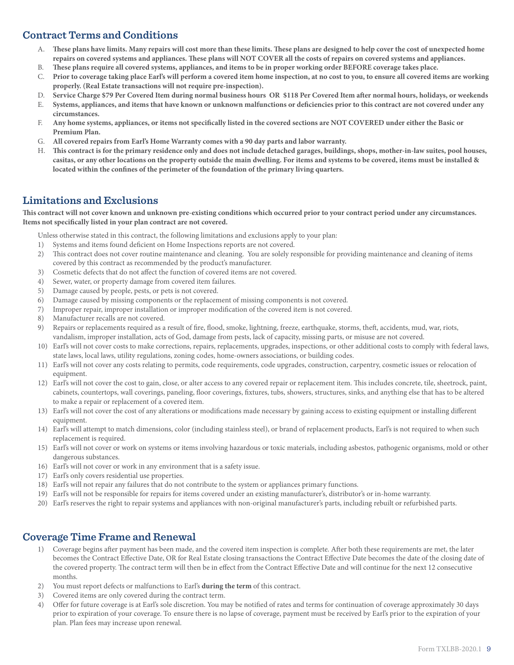## **Contract Terms and Conditions**

- A. **These plans have limits. Many repairs will cost more than these limits. These plans are designed to help cover the cost of unexpected home repairs on covered systems and appliances. These plans will NOT COVER all the costs of repairs on covered systems and appliances.**
- B. **These plans require all covered systems, appliances, and items to be in proper working order BEFORE coverage takes place.**
- C. **Prior to coverage taking place Earl's will perform a covered item home inspection, at no cost to you, to ensure all covered items are working properly. (Real Estate transactions will not require pre-inspection).**
- D. **Service Charge \$79 Per Covered Item during normal business hours OR \$118 Per Covered Item after normal hours, holidays, or weekends**
- E. **Systems, appliances, and items that have known or unknown malfunctions or deficiencies prior to this contract are not covered under any circumstances.**
- F. **Any home systems, appliances, or items not specifically listed in the covered sections are NOT COVERED under either the Basic or Premium Plan.**
- G. **All covered repairs from Earl's Home Warranty comes with a 90 day parts and labor warranty.**
- H. **This contract is for the primary residence only and does not include detached garages, buildings, shops, mother-in-law suites, pool houses, casitas, or any other locations on the property outside the main dwelling. For items and systems to be covered, items must be installed & located within the confines of the perimeter of the foundation of the primary living quarters.**

### **Limitations and Exclusions**

**This contract will not cover known and unknown pre-existing conditions which occurred prior to your contract period under any circumstances. Items not specifically listed in your plan contract are not covered.**

Unless otherwise stated in this contract, the following limitations and exclusions apply to your plan:

- 1) Systems and items found deficient on Home Inspections reports are not covered.
- 2) This contract does not cover routine maintenance and cleaning. You are solely responsible for providing maintenance and cleaning of items covered by this contract as recommended by the product's manufacturer.
- 3) Cosmetic defects that do not affect the function of covered items are not covered.
- 4) Sewer, water, or property damage from covered item failures.
- 5) Damage caused by people, pests, or pets is not covered.
- 6) Damage caused by missing components or the replacement of missing components is not covered.
- 7) Improper repair, improper installation or improper modification of the covered item is not covered.
- 8) Manufacturer recalls are not covered.
- 9) Repairs or replacements required as a result of fire, flood, smoke, lightning, freeze, earthquake, storms, theft, accidents, mud, war, riots, vandalism, improper installation, acts of God, damage from pests, lack of capacity, missing parts, or misuse are not covered.
- 10) Earl's will not cover costs to make corrections, repairs, replacements, upgrades, inspections, or other additional costs to comply with federal laws, state laws, local laws, utility regulations, zoning codes, home-owners associations, or building codes.
- 11) Earl's will not cover any costs relating to permits, code requirements, code upgrades, construction, carpentry, cosmetic issues or relocation of equipment.
- 12) Earl's will not cover the cost to gain, close, or alter access to any covered repair or replacement item. This includes concrete, tile, sheetrock, paint, cabinets, countertops, wall coverings, paneling, floor coverings, fixtures, tubs, showers, structures, sinks, and anything else that has to be altered to make a repair or replacement of a covered item.
- 13) Earl's will not cover the cost of any alterations or modifications made necessary by gaining access to existing equipment or installing different equipment.
- 14) Earl's will attempt to match dimensions, color (including stainless steel), or brand of replacement products, Earl's is not required to when such replacement is required.
- 15) Earl's will not cover or work on systems or items involving hazardous or toxic materials, including asbestos, pathogenic organisms, mold or other dangerous substances.
- 16) Earl's will not cover or work in any environment that is a safety issue.
- 17) Earl's only covers residential use properties.
- 18) Earl's will not repair any failures that do not contribute to the system or appliances primary functions.
- 19) Earl's will not be responsible for repairs for items covered under an existing manufacturer's, distributor's or in-home warranty.
- 20) Earl's reserves the right to repair systems and appliances with non-original manufacturer's parts, including rebuilt or refurbished parts.

### **Coverage Time Frame and Renewal**

- 1) Coverage begins after payment has been made, and the covered item inspection is complete. After both these requirements are met, the later becomes the Contract Effective Date, OR for Real Estate closing transactions the Contract Effective Date becomes the date of the closing date of the covered property. The contract term will then be in effect from the Contract Effective Date and will continue for the next 12 consecutive months.
- 2) You must report defects or malfunctions to Earl's **during the term** of this contract.
- 3) Covered items are only covered during the contract term.
- 4) Offer for future coverage is at Earl's sole discretion. You may be notified of rates and terms for continuation of coverage approximately 30 days prior to expiration of your coverage. To ensure there is no lapse of coverage, payment must be received by Earl's prior to the expiration of your plan. Plan fees may increase upon renewal.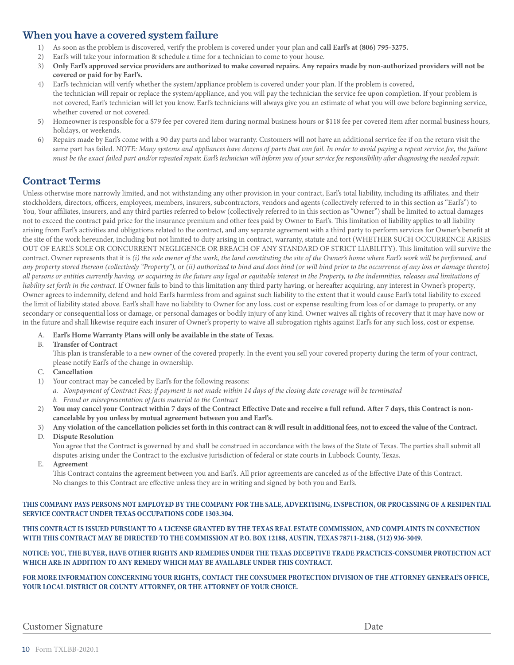### **When you have a covered system failure**

- 1) As soon as the problem is discovered, verify the problem is covered under your plan and **call Earl's at (806) 795-3275.**
- 2) Earl's will take your information & schedule a time for a technician to come to your house.
- 3) **Only Earl's approved service providers are authorized to make covered repairs. Any repairs made by non-authorized providers will not be covered or paid for by Earl's.**
- 4) Earl's technician will verify whether the system/appliance problem is covered under your plan. If the problem is covered, the technician will repair or replace the system/appliance, and you will pay the technician the service fee upon completion. If your problem is not covered, Earl's technician will let you know. Earl's technicians will always give you an estimate of what you will owe before beginning service, whether covered or not covered.
- 5) Homeowner is responsible for a \$79 fee per covered item during normal business hours or \$118 fee per covered item after normal business hours, holidays, or weekends.
- 6) Repairs made by Earl's come with a 90 day parts and labor warranty. Customers will not have an additional service fee if on the return visit the same part has failed. *NOTE: Many systems and appliances have dozens of parts that can fail. In order to avoid paying a repeat service fee, the failure must be the exact failed part and/or repeated repair. Earl's technician will inform you of your service fee responsibility after diagnosing the needed repair.*

### **Contract Terms**

Unless otherwise more narrowly limited, and not withstanding any other provision in your contract, Earl's total liability, including its affiliates, and their stockholders, directors, officers, employees, members, insurers, subcontractors, vendors and agents (collectively referred to in this section as "Earl's") to You, Your affiliates, insurers, and any third parties referred to below (collectively referred to in this section as "Owner") shall be limited to actual damages not to exceed the contract paid price for the insurance premium and other fees paid by Owner to Earl's. This limitation of liability applies to all liability arising from Earl's activities and obligations related to the contract, and any separate agreement with a third party to perform services for Owner's benefit at the site of the work hereunder, including but not limited to duty arising in contract, warranty, statute and tort (WHETHER SUCH OCCURRENCE ARISES OUT OF EARL'S SOLE OR CONCURRENT NEGLIGENCE OR BREACH OF ANY STANDARD OF STRICT LIABILITY). This limitation will survive the contract. Owner represents that it is *(i) the sole owner of the work, the land constituting the site of the Owner's home where Earl's work will be performed, and any property stored thereon (collectively "Property"),* or *(ii) authorized to bind and does bind (or will bind prior to the occurrence of any loss or damage thereto) all persons or entities currently having, or acquiring in the future any legal or equitable interest in the Property, to the indemnities, releases and limitations of liability set forth in the contract*. If Owner fails to bind to this limitation any third party having, or hereafter acquiring, any interest in Owner's property, Owner agrees to indemnify, defend and hold Earl's harmless from and against such liability to the extent that it would cause Earl's total liability to exceed the limit of liability stated above. Earl's shall have no liability to Owner for any loss, cost or expense resulting from loss of or damage to property, or any secondary or consequential loss or damage, or personal damages or bodily injury of any kind. Owner waives all rights of recovery that it may have now or in the future and shall likewise require each insurer of Owner's property to waive all subrogation rights against Earl's for any such loss, cost or expense.

- A. **Earl's Home Warranty Plans will only be available in the state of Texas.**
- B. **Transfer of Contract**

 This plan is transferable to a new owner of the covered properly. In the event you sell your covered property during the term of your contract, please notify Earl's of the change in ownership.

- C. **Cancellation**
- 1) Your contract may be canceled by Earl's for the following reasons:
	- *a. Nonpayment of Contract Fees; if payment is not made within 14 days of the closing date coverage will be terminated*
	- *b. Fraud or misrepresentation of facts material to the Contract*
- 2) **You may cancel your Contract within 7 days of the Contract Effective Date and receive a full refund. After 7 days, this Contract is non cancelable by you unless by mutual agreement between you and Earl's.**
- 3) **Any violation of the cancellation policies set forth in this contract can & will result in additional fees, not to exceed the value of the Contract.**
- D. **Dispute Resolution**

 You agree that the Contract is governed by and shall be construed in accordance with the laws of the State of Texas. The parties shall submit all disputes arising under the Contract to the exclusive jurisdiction of federal or state courts in Lubbock County, Texas.

E. **Agreement**

 This Contract contains the agreement between you and Earl's. All prior agreements are canceled as of the Effective Date of this Contract. No changes to this Contract are effective unless they are in writing and signed by both you and Earl's.

**THIS COMPANY PAYS PERSONS NOT EMPLOYED BY THE COMPANY FOR THE SALE, ADVERTISING, INSPECTION, OR PROCESSING OF A RESIDENTIAL SERVICE CONTRACT UNDER TEXAS OCCUPATIONS CODE 1303.304.**

#### **THIS CONTRACT IS ISSUED PURSUANT TO A LICENSE GRANTED BY THE TEXAS REAL ESTATE COMMISSION, AND COMPLAINTS IN CONNECTION WITH THIS CONTRACT MAY BE DIRECTED TO THE COMMISSION AT P.O. BOX 12188, AUSTIN, TEXAS 78711-2188, (512) 936-3049.**

**NOTICE: YOU, THE BUYER, HAVE OTHER RIGHTS AND REMEDIES UNDER THE TEXAS DECEPTIVE TRADE PRACTICES-CONSUMER PROTECTION ACT WHICH ARE IN ADDITION TO ANY REMEDY WHICH MAY BE AVAILABLE UNDER THIS CONTRACT.**

**FOR MORE INFORMATION CONCERNING YOUR RIGHTS, CONTACT THE CONSUMER PROTECTION DIVISION OF THE ATTORNEY GENERAL'S OFFICE, YOUR LOCAL DISTRICT OR COUNTY ATTORNEY, OR THE ATTORNEY OF YOUR CHOICE.**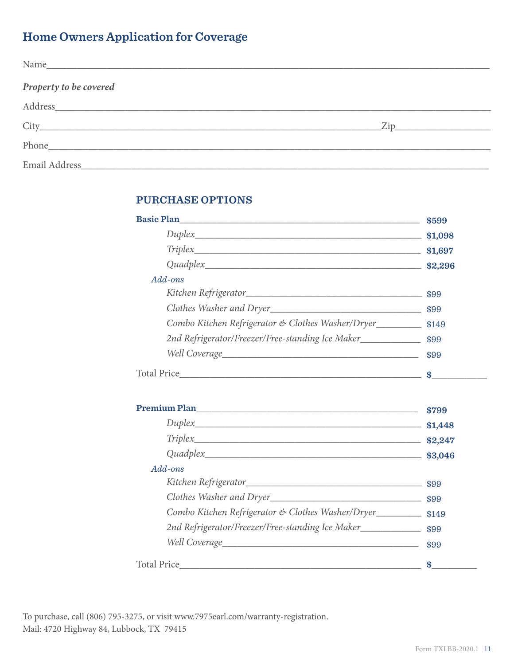# **Home Owners Application for Coverage**

| Name                                                                                                                                                                                                                           |  |
|--------------------------------------------------------------------------------------------------------------------------------------------------------------------------------------------------------------------------------|--|
| Property to be covered                                                                                                                                                                                                         |  |
| Address and the contract of the contract of the contract of the contract of the contract of the contract of the contract of the contract of the contract of the contract of the contract of the contract of the contract of th |  |
|                                                                                                                                                                                                                                |  |
|                                                                                                                                                                                                                                |  |
|                                                                                                                                                                                                                                |  |

### **PURCHASE OPTIONS**

| Basic Plan                                                           | \$599 |
|----------------------------------------------------------------------|-------|
|                                                                      |       |
| $Triplex$ $$1,697$                                                   |       |
|                                                                      |       |
| $Add$ -ons                                                           |       |
|                                                                      |       |
|                                                                      |       |
| Combo Kitchen Refrigerator & Clothes Washer/Dryer___________ \$149   |       |
| 2nd Refrigerator/Freezer/Free-standing Ice Maker_______________ \$99 |       |
|                                                                      |       |
|                                                                      |       |
|                                                                      |       |
|                                                                      |       |
|                                                                      |       |
|                                                                      |       |
| Add-ons                                                              |       |
|                                                                      |       |
|                                                                      |       |
| Combo Kitchen Refrigerator & Clothes Washer/Dryer___________ \$149   |       |
| 2nd Refrigerator/Freezer/Free-standing Ice Maker_______________ \$99 |       |
|                                                                      |       |
|                                                                      | \$    |

To purchase, call (806) 795-3275, or visit www.7975earl.com/warranty-registration. Mail: 4720 Highway 84, Lubbock, TX 79415